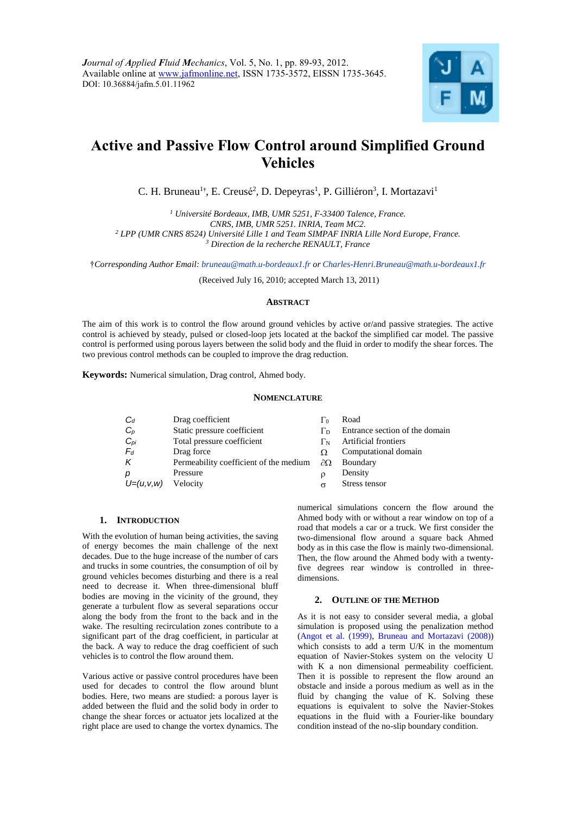

# **Active and Passive Flow Control around Simplified Ground Vehicles**

C. H. Bruneau<sup>1</sup><sup>†</sup>, E. Creusé<sup>2</sup>, D. Depeyras<sup>1</sup>, P. Gilliéron<sup>3</sup>, I. Mortazavi<sup>1</sup>

 *Université Bordeaux, IMB, UMR 5251, F-33400 Talence, France. CNRS, IMB, UMR 5251. INRIA, Team MC2. LPP (UMR CNRS 8524) Université Lille 1 and Team SIMPAF INRIA Lille Nord Europe, France. Direction de la recherche RENAULT, France*

†*Corresponding Author Email: bruneau@math.u-bordeaux1.fr or Charles-Henri.Bruneau@math.u-bordeaux1.fr*

(Received July 16, 2010; accepted March 13, 2011)

# **ABSTRACT**

The aim of this work is to control the flow around ground vehicles by active or/and passive strategies. The active control is achieved by steady, pulsed or closed-loop jets located at the backof the simplified car model. The passive control is performed using porous layers between the solid body and the fluid in order to modify the shear forces. The two previous control methods can be coupled to improve the drag reduction.

**Keywords:** Numerical simulation, Drag control, Ahmed body.

#### **NOMENCLATURE**

| $C_d$       | Drag coefficient                       | Γo                | Road                           |
|-------------|----------------------------------------|-------------------|--------------------------------|
| $C_p$       | Static pressure coefficient            |                   | Entrance section of the domain |
| $C_{pi}$    | Total pressure coefficient             | Γм                | Artificial frontiers           |
| $F_d$       | Drag force                             |                   | Computational domain           |
| К           | Permeability coefficient of the medium | $\partial \Omega$ | Boundary                       |
| р           | Pressure                               |                   | Density                        |
| $U=(u,v,w)$ | Velocity                               | $\sigma$          | Stress tensor                  |
|             |                                        |                   |                                |

## **1. INTRODUCTION**

With the evolution of human being activities, the saving of energy becomes the main challenge of the next decades. Due to the huge increase of the number of cars and trucks in some countries, the consumption of oil by ground vehicles becomes disturbing and there is a real need to decrease it. When three-dimensional bluff bodies are moving in the vicinity of the ground, they generate a turbulent flow as several separations occur along the body from the front to the back and in the wake. The resulting recirculation zones contribute to a significant part of the drag coefficient, in particular at the back. A way to reduce the drag coefficient of such vehicles is to control the flow around them.

Various active or passive control procedures have been used for decades to control the flow around blunt bodies. Here, two means are studied: a porous layer is added between the fluid and the solid body in order to change the shear forces or actuator jets localized at the right place are used to change the vortex dynamics. The numerical simulations concern the flow around the Ahmed body with or without a rear window on top of a road that models a car or a truck. We first consider the two-dimensional flow around a square back Ahmed body as in this case the flow is mainly two-dimensional. Then, the flow around the Ahmed body with a twentyfive degrees rear window is controlled in threedimensions.

## **2. OUTLINE OF THE METHOD**

As it is not easy to consider several media, a global simulation is proposed using the penalization method (Angot et al. (1999), Bruneau and Mortazavi (2008)) which consists to add a term U/K in the momentum equation of Navier-Stokes system on the velocity U with K a non dimensional permeability coefficient. Then it is possible to represent the flow around an obstacle and inside a porous medium as well as in the fluid by changing the value of K. Solving these equations is equivalent to solve the Navier-Stokes equations in the fluid with a Fourier-like boundary condition instead of the no-slip boundary condition.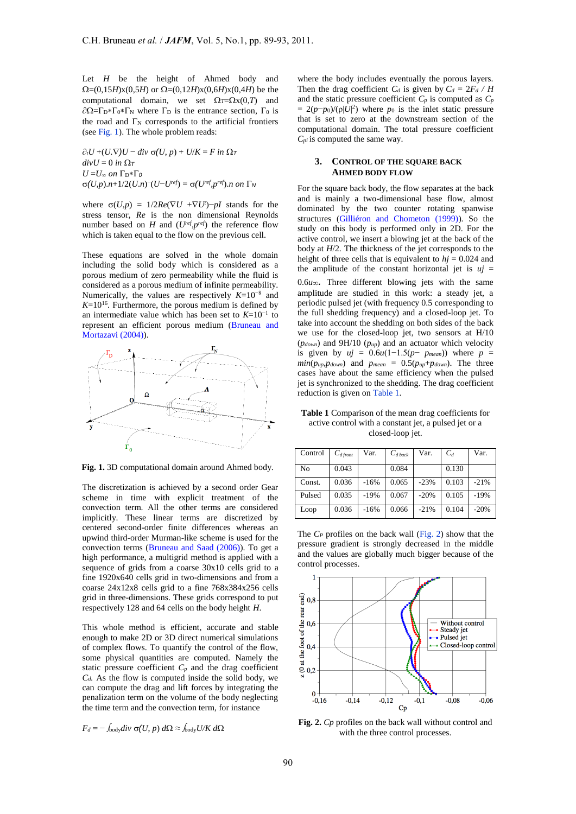Let *H* be the height of Ahmed body and  $\Omega = (0,15H)x(0,5H)$  or  $\Omega = (0,12H)x(0,6H)x(0,4H)$  be the computational domain, we set  $\Omega_T = \Omega x(0,T)$  and  $\partial \Omega = \Gamma_D * \Gamma_0 * \Gamma_N$  where  $\Gamma_D$  is the entrance section,  $\Gamma_0$  is the road and  $\Gamma_N$  corresponds to the artificial frontiers (see Fig. 1). The whole problem reads:

 $\partial_t U$  +(*U*. $\nabla$ *)U* − *div*  $\sigma$ (*U*, *p*) + *U*/*K* = *F in*  $\Omega$ *T*  $divU = 0$  *in*  $\Omega_T$  $U = U_{\infty}$  on  $\Gamma_{D} \ast \Gamma_{0}$  $\sigma(U,p).n+1/2(U.n)^{-}(U-U^{ref}) = \sigma(U^{ref},p^{ref}).n$  on  $\Gamma_{N}$ 

where  $\sigma(U,p) = 1/2Re(\nabla U + \nabla U') - pI$  stands for the stress tensor, *Re* is the non dimensional Reynolds number based on *H* and  $(U^{ref}, p^{ref})$  the reference flow which is taken equal to the flow on the previous cell.

These equations are solved in the whole domain including the solid body which is considered as a porous medium of zero permeability while the fluid is considered as a porous medium of infinite permeability. Numerically, the values are respectively *K*=10−8 and  $K=10^{16}$ . Furthermore, the porous medium is defined by an intermediate value which has been set to *K*=10−1 to represent an efficient porous medium (Bruneau and Mortazavi (2004)).



**Fig. 1.** 3D computational domain around Ahmed body.

The discretization is achieved by a second order Gear scheme in time with explicit treatment of the convection term. All the other terms are considered implicitly. These linear terms are discretized by centered second-order finite differences whereas an upwind third-order Murman-like scheme is used for the convection terms (Bruneau and Saad (2006)). To get a high performance, a multigrid method is applied with a sequence of grids from a coarse 30x10 cells grid to a fine 1920x640 cells grid in two-dimensions and from a coarse 24x12x8 cells grid to a fine 768x384x256 cells grid in three-dimensions. These grids correspond to put respectively 128 and 64 cells on the body height *H*.

This whole method is efficient, accurate and stable enough to make 2D or 3D direct numerical simulations of complex flows. To quantify the control of the flow, some physical quantities are computed. Namely the static pressure coefficient  $C_p$  and the drag coefficient *Cd.* As the flow is computed inside the solid body, we can compute the drag and lift forces by integrating the penalization term on the volume of the body neglecting the time term and the convection term, for instance

$$
F_d = -\int_{\text{body}} \frac{div \sigma(U, p) d\Omega \approx \int_{\text{body}} U/K d\Omega
$$

where the body includes eventually the porous layers. Then the drag coefficient  $C_d$  is given by  $C_d = 2F_d / H$ and the static pressure coefficient  $C_p$  is computed as  $C_p$  $= 2(p-p_0)/(\rho|U|^2)$  where *p*<sup>0</sup> is the inlet static pressure that is set to zero at the downstream section of the computational domain. The total pressure coefficient *Cpi* is computed the same way.

## **3. CONTROL OF THE SQUARE BACK AHMED BODY FLOW**

For the square back body, the flow separates at the back and is mainly a two-dimensional base flow, almost dominated by the two counter rotating spanwise structures (Gilliéron and Chometon (1999)). So the study on this body is performed only in 2D. For the active control, we insert a blowing jet at the back of the body at *H*/2. The thickness of the jet corresponds to the height of three cells that is equivalent to  $hj = 0.024$  and the amplitude of the constant horizontal jet is  $uj =$  $0.6*u*$ . Three different blowing jets with the same amplitude are studied in this work: a steady jet, a periodic pulsed jet (with frequency 0.5 corresponding to the full shedding frequency) and a closed-loop jet. To take into account the shedding on both sides of the back we use for the closed-loop jet, two sensors at H/10 (*pdown*) and 9H/10 (*pup*) and an actuator which velocity is given by  $uj = 0.6u(1-1.5(p-p_{mean}))$  where  $p =$ *min*( $p_{up}$ , $p_{down}$ ) and  $p_{mean} = 0.5(p_{up} + p_{down})$ . The three cases have about the same efficiency when the pulsed jet is synchronized to the shedding. The drag coefficient reduction is given on Table 1.

**Table 1** Comparison of the mean drag coefficients for active control with a constant jet, a pulsed jet or a closed-loop jet.

| Control | $C_{d \text{front}}$ | Var.   | $C_{d \textit{back}}$ | Var.   | $C_d$ | Var.   |
|---------|----------------------|--------|-----------------------|--------|-------|--------|
| No      | 0.043                |        | 0.084                 |        | 0.130 |        |
| Const.  | 0.036                | $-16%$ | 0.065                 | $-23%$ | 0.103 | $-21%$ |
| Pulsed  | 0.035                | $-19%$ | 0.067                 | $-20%$ | 0.105 | $-19%$ |
| Loop    | 0.036                | $-16%$ | 0.066                 | $-21%$ | 0.104 | $-20%$ |

The *C<sup>P</sup>* profiles on the back wall (Fig. 2) show that the pressure gradient is strongly decreased in the middle and the values are globally much bigger because of the control processes.



**Fig. 2.** *Cp* profiles on the back wall without control and with the three control processes.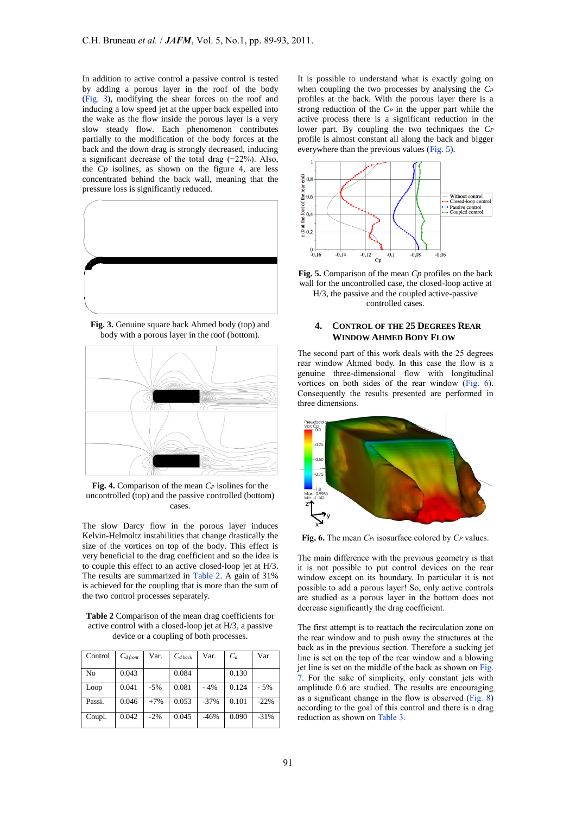In addition to active control a passive control is tested by adding a porous layer in the roof of the body (Fig. 3), modifying the shear forces on the roof and inducing a low speed jet at the upper back expelled into the wake as the flow inside the porous layer is a very slow steady flow. Each phenomenon contributes partially to the modification of the body forces at the back and the down drag is strongly decreased, inducing a significant decrease of the total drag (−22%). Also, the *Cp* isolines, as shown on the figure 4, are less concentrated behind the back wall, meaning that the pressure loss is significantly reduced.



**Fig. 3.** Genuine square back Ahmed body (top) and body with a porous layer in the roof (bottom).



**Fig. 4.** Comparison of the mean *C<sup>P</sup>* isolines for the uncontrolled (top) and the passive controlled (bottom) cases.

The slow Darcy flow in the porous layer induces Kelvin-Helmoltz instabilities that change drastically the size of the vortices on top of the body. This effect is very beneficial to the drag coefficient and so the idea is to couple this effect to an active closed-loop jet at H/3. The results are summarized in Table 2. A gain of 31% is achieved for the coupling that is more than the sum of the two control processes separately.

**Table 2** Comparison of the mean drag coefficients for active control with a closed-loop jet at H/3, a passive device or a coupling of both processes.

| Control | $C_{d \text{front}}$ | Var.  | $C_{d \text{ back}}$ | Var.   | $C_d$ | Var.   |
|---------|----------------------|-------|----------------------|--------|-------|--------|
| No      | 0.043                |       | 0.084                |        | 0.130 |        |
| Loop    | 0.041                | $-5%$ | 0.081                | $-4%$  | 0.124 | $-5%$  |
| Passi.  | 0.046                | $+7%$ | 0.053                | $-37%$ | 0.101 | $-22%$ |
| Coupl.  | 0.042                | $-2%$ | 0.045                | $-46%$ | 0.090 | $-31%$ |

It is possible to understand what is exactly going on when coupling the two processes by analysing the *C<sup>P</sup>* profiles at the back. With the porous layer there is a strong reduction of the *C<sup>P</sup>* in the upper part while the active process there is a significant reduction in the lower part. By coupling the two techniques the *C<sup>P</sup>* profile is almost constant all along the back and bigger everywhere than the previous values (Fig. 5).





controlled cases.

## **4. CONTROL OF THE 25 DEGREES REAR WINDOW AHMED BODY FLOW**

The second part of this work deals with the 25 degrees rear window Ahmed body. In this case the flow is a genuine three-dimensional flow with longitudinal vortices on both sides of the rear window (Fig. 6). Consequently the results presented are performed in three dimensions.



**Fig. 6.** The mean *CPi* isosurface colored by *C<sup>P</sup>* values.

The main difference with the previous geometry is that it is not possible to put control devices on the rear window except on its boundary. In particular it is not possible to add a porous layer! So, only active controls are studied as a porous layer in the bottom does not decrease significantly the drag coefficient.

The first attempt is to reattach the recirculation zone on the rear window and to push away the structures at the back as in the previous section. Therefore a sucking jet line is set on the top of the rear window and a blowing jet line is set on the middle of the back as shown on Fig. 7. For the sake of simplicity, only constant jets with amplitude 0.6 are studied. The results are encouraging as a significant change in the flow is observed (Fig. 8) according to the goal of this control and there is a drag reduction as shown on Table 3.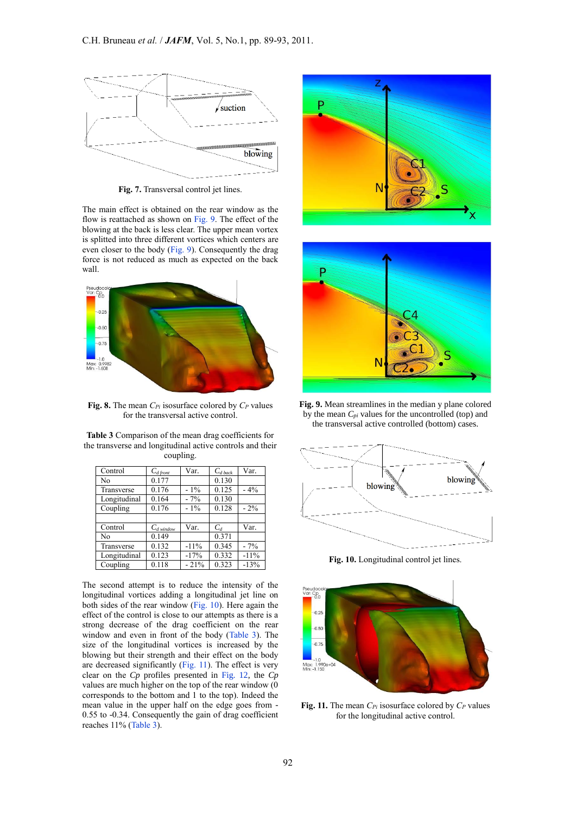

**Fig. 7.** Transversal control jet lines.

The main effect is obtained on the rear window as the flow is reattached as shown on Fig. 9. The effect of the blowing at the back is less clear. The upper mean vortex is splitted into three different vortices which centers are even closer to the body (Fig. 9). Consequently the drag force is not reduced as much as expected on the back wall.



**Fig. 8.** The mean *CPi* isosurface colored by *C<sup>P</sup>* values for the transversal active control.

**Table 3** Comparison of the mean drag coefficients for the transverse and longitudinal active controls and their coupling.

| Control      | $C_{d$ front      | Var.   | $C_{d \textit{back}}$ | Var.   |
|--------------|-------------------|--------|-----------------------|--------|
| No           | 0.177             |        | 0.130                 |        |
| Transverse   | 0.176             | $-1\%$ | 0.125                 | $-4\%$ |
| Longitudinal | 0.164             | $-7%$  | 0.130                 |        |
| Coupling     | 0.176             | $-1\%$ | 0.128                 | $-2\%$ |
|              |                   |        |                       |        |
| Control      | $C_{d \, window}$ | Var.   | $C_d$                 | Var.   |
| No           | 0.149             |        | 0.371                 |        |
| Transverse   | 0.132             | $-11%$ | 0.345                 | $-7%$  |
| Longitudinal | 0.123             | $-17%$ | 0.332                 | $-11%$ |
| Coupling     | 0.118             | $-21%$ | 0.323                 | $-13%$ |

The second attempt is to reduce the intensity of the longitudinal vortices adding a longitudinal jet line on both sides of the rear window (Fig. 10). Here again the effect of the control is close to our attempts as there is a strong decrease of the drag coefficient on the rear window and even in front of the body (Table 3). The size of the longitudinal vortices is increased by the blowing but their strength and their effect on the body are decreased significantly (Fig. 11). The effect is very clear on the *Cp* profiles presented in Fig. 12, the *Cp* values are much higher on the top of the rear window (0 corresponds to the bottom and 1 to the top). Indeed the mean value in the upper half on the edge goes from - 0.55 to -0.34. Consequently the gain of drag coefficient reaches 11% (Table 3).





**Fig. 9.** Mean streamlines in the median y plane colored by the mean *Cpi* values for the uncontrolled (top) and the transversal active controlled (bottom) cases.



**Fig. 10.** Longitudinal control jet lines.



**Fig. 11.** The mean *CPi* isosurface colored by *C<sup>P</sup>* values for the longitudinal active control.